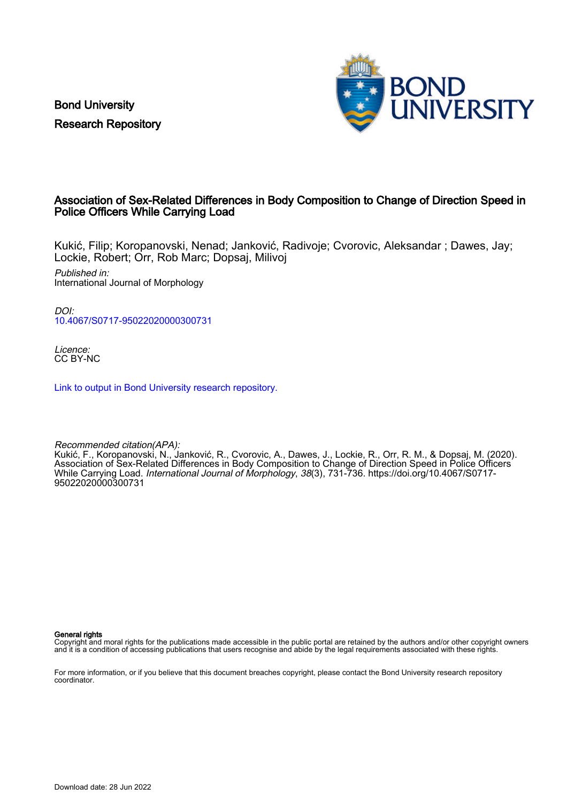Bond University Research Repository



## Association of Sex-Related Differences in Body Composition to Change of Direction Speed in Police Officers While Carrying Load

Kukić, Filip; Koropanovski, Nenad; Janković, Radivoje; Cvorovic, Aleksandar ; Dawes, Jay; Lockie, Robert; Orr, Rob Marc; Dopsaj, Milivoj

Published in: International Journal of Morphology

DOI: [10.4067/S0717-95022020000300731](https://doi.org/10.4067/S0717-95022020000300731)

Licence: CC BY-NC

[Link to output in Bond University research repository.](https://research.bond.edu.au/en/publications/76e1503c-0b91-473c-87e0-bccf68318761)

Recommended citation(APA): Kukić, F., Koropanovski, N., Janković, R., Cvorovic, A., Dawes, J., Lockie, R., Orr, R. M., & Dopsaj, M. (2020). Association of Sex-Related Differences in Body Composition to Change of Direction Speed in Police Officers While Carrying Load. International Journal of Morphology, 38(3), 731-736. [https://doi.org/10.4067/S0717-](https://doi.org/10.4067/S0717-95022020000300731) [95022020000300731](https://doi.org/10.4067/S0717-95022020000300731)

General rights

Copyright and moral rights for the publications made accessible in the public portal are retained by the authors and/or other copyright owners and it is a condition of accessing publications that users recognise and abide by the legal requirements associated with these rights.

For more information, or if you believe that this document breaches copyright, please contact the Bond University research repository coordinator.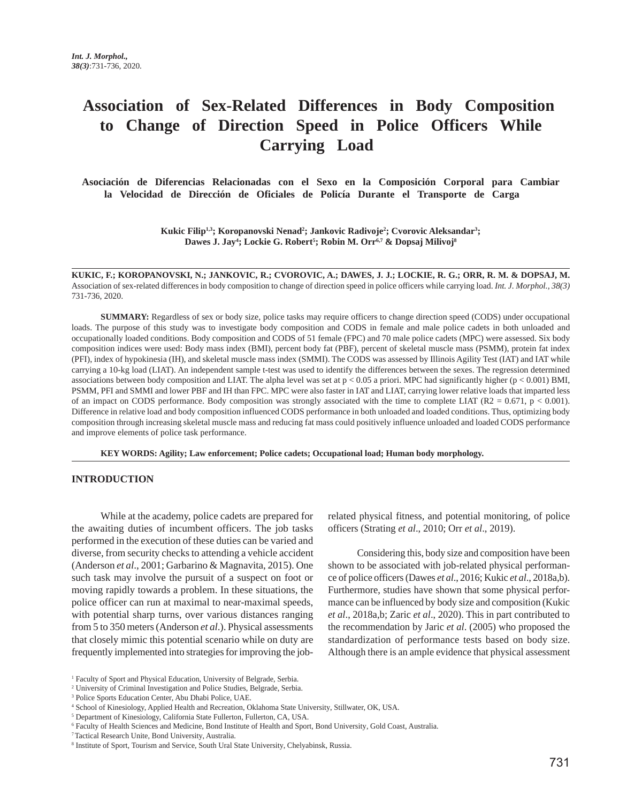# **Association of Sex-Related Differences in Body Composition to Change of Direction Speed in Police Officers While Carrying Load**

 **Asociación de Diferencias Relacionadas con el Sexo en la Composición Corporal para Cambiar la Velocidad de Dirección de Oficiales de Policía Durante el Transporte de Carga** 

> **Kukic Filip1,3; Koropanovski Nenad2 ; Jankovic Radivoje2 ; Cvorovic Aleksandar3 ; Dawes J. Jay4 ; Lockie G. Robert5 ; Robin M. Orr6,7 & Dopsaj Milivoj8**

**KUKIC, F.; KOROPANOVSKI, N.; JANKOVIC, R.; CVOROVIC, A.; DAWES, J. J.; LOCKIE, R. G.; ORR, R. M. & DOPSAJ, M.** Association of sex-related differences in body composition to change of direction speed in police officers while carrying load. *Int. J. Morphol., 38(3)* 731-736, 2020.

**SUMMARY:** Regardless of sex or body size, police tasks may require officers to change direction speed (CODS) under occupational loads. The purpose of this study was to investigate body composition and CODS in female and male police cadets in both unloaded and occupationally loaded conditions. Body composition and CODS of 51 female (FPC) and 70 male police cadets (MPC) were assessed. Six body composition indices were used: Body mass index (BMI), percent body fat (PBF), percent of skeletal muscle mass (PSMM), protein fat index (PFI), index of hypokinesia (IH), and skeletal muscle mass index (SMMI). The CODS was assessed by Illinois Agility Test (IAT) and IAT while carrying a 10-kg load (LIAT). An independent sample t-test was used to identify the differences between the sexes. The regression determined associations between body composition and LIAT. The alpha level was set at  $p < 0.05$  a priori. MPC had significantly higher ( $p < 0.001$ ) BMI, PSMM, PFI and SMMI and lower PBF and IH than FPC. MPC were also faster in IAT and LIAT, carrying lower relative loads that imparted less of an impact on CODS performance. Body composition was strongly associated with the time to complete LIAT ( $R2 = 0.671$ ,  $p < 0.001$ ). Difference in relative load and body composition influenced CODS performance in both unloaded and loaded conditions. Thus, optimizing body composition through increasing skeletal muscle mass and reducing fat mass could positively influence unloaded and loaded CODS performance and improve elements of police task performance.

**KEY WORDS: Agility; Law enforcement; Police cadets; Occupational load; Human body morphology.**

#### **INTRODUCTION**

While at the academy, police cadets are prepared for the awaiting duties of incumbent officers. The job tasks performed in the execution of these duties can be varied and diverse, from security checks to attending a vehicle accident (Anderson *et al*., 2001; Garbarino & Magnavita, 2015). One such task may involve the pursuit of a suspect on foot or moving rapidly towards a problem. In these situations, the police officer can run at maximal to near-maximal speeds, with potential sharp turns, over various distances ranging from 5 to 350 meters (Anderson *et al*.). Physical assessments that closely mimic this potential scenario while on duty are frequently implemented into strategies for improving the jobrelated physical fitness, and potential monitoring, of police officers (Strating *et al*., 2010; Orr *et al*., 2019).

Considering this, body size and composition have been shown to be associated with job-related physical performance of police officers (Dawes *et al*., 2016; Kukic *et al*., 2018a,b). Furthermore, studies have shown that some physical performance can be influenced by body size and composition (Kukic *et al*., 2018a,b; Zaric *et al*., 2020). This in part contributed to the recommendation by Jaric *et al*. (2005) who proposed the standardization of performance tests based on body size. Although there is an ample evidence that physical assessment

<sup>&</sup>lt;sup>1</sup> Faculty of Sport and Physical Education, University of Belgrade, Serbia.

<sup>2</sup> University of Criminal Investigation and Police Studies, Belgrade, Serbia.

<sup>3</sup> Police Sports Education Center, Abu Dhabi Police, UAE.

<sup>4</sup> School of Kinesiology, Applied Health and Recreation, Oklahoma State University, Stillwater, OK, USA.

<sup>&</sup>lt;sup>5</sup> Department of Kinesiology, California State Fullerton, Fullerton, CA, USA.

<sup>6</sup> Faculty of Health Sciences and Medicine, Bond Institute of Health and Sport, Bond University, Gold Coast, Australia.

<sup>7</sup> Tactical Research Unite, Bond University, Australia.

<sup>8</sup> Institute of Sport, Tourism and Service, South Ural State University, Chelyabinsk, Russia.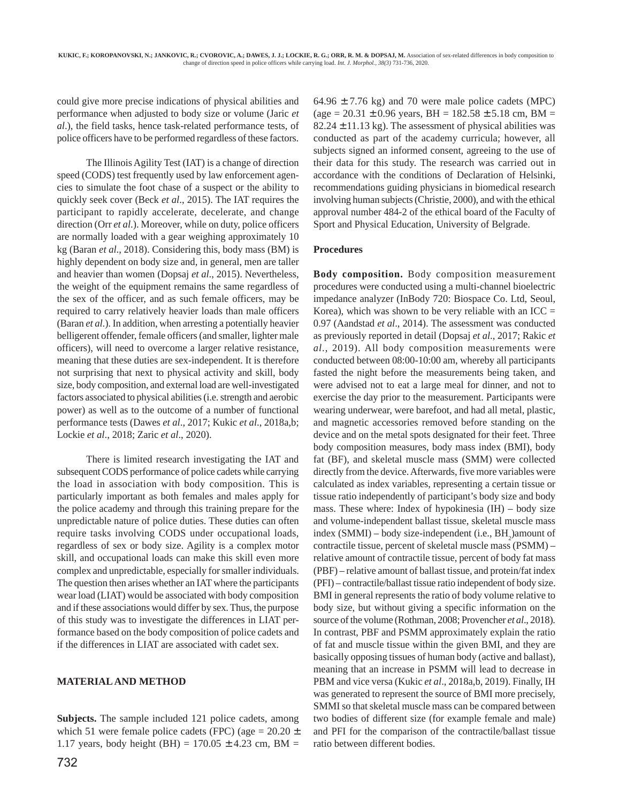could give more precise indications of physical abilities and performance when adjusted to body size or volume (Jaric *et al*.), the field tasks, hence task-related performance tests, of police officers have to be performed regardless of these factors.

The Illinois Agility Test (IAT) is a change of direction speed (CODS) test frequently used by law enforcement agencies to simulate the foot chase of a suspect or the ability to quickly seek cover (Beck *et al*., 2015). The IAT requires the participant to rapidly accelerate, decelerate, and change direction (Orr *et al*.). Moreover, while on duty, police officers are normally loaded with a gear weighing approximately 10 kg (Baran *et al*., 2018). Considering this, body mass (BM) is highly dependent on body size and, in general, men are taller and heavier than women (Dopsaj *et al*., 2015). Nevertheless, the weight of the equipment remains the same regardless of the sex of the officer, and as such female officers, may be required to carry relatively heavier loads than male officers (Baran *et al*.). In addition, when arresting a potentially heavier belligerent offender, female officers (and smaller, lighter male officers), will need to overcome a larger relative resistance, meaning that these duties are sex-independent. It is therefore not surprising that next to physical activity and skill, body size, body composition, and external load are well-investigated factors associated to physical abilities (i.e. strength and aerobic power) as well as to the outcome of a number of functional performance tests (Dawes *et al*., 2017; Kukic *et al*., 2018a,b; Lockie *et al*., 2018; Zaric *et al*., 2020).

There is limited research investigating the IAT and subsequent CODS performance of police cadets while carrying the load in association with body composition. This is particularly important as both females and males apply for the police academy and through this training prepare for the unpredictable nature of police duties. These duties can often require tasks involving CODS under occupational loads, regardless of sex or body size. Agility is a complex motor skill, and occupational loads can make this skill even more complex and unpredictable, especially for smaller individuals. The question then arises whether an IAT where the participants wear load (LIAT) would be associated with body composition and if these associations would differ by sex. Thus, the purpose of this study was to investigate the differences in LIAT performance based on the body composition of police cadets and if the differences in LIAT are associated with cadet sex.

### **MATERIAL AND METHOD**

**Subjects.** The sample included 121 police cadets, among which 51 were female police cadets (FPC) (age =  $20.20 \pm$ 1.17 years, body height (BH) =  $170.05 \pm 4.23$  cm, BM =  $64.96 \pm 7.76$  kg) and 70 were male police cadets (MPC)  $(age = 20.31 \pm 0.96 \text{ years}, BH = 182.58 \pm 5.18 \text{ cm}, BM =$  $82.24 \pm 11.13$  kg). The assessment of physical abilities was conducted as part of the academy curricula; however, all subjects signed an informed consent, agreeing to the use of their data for this study. The research was carried out in accordance with the conditions of Declaration of Helsinki, recommendations guiding physicians in biomedical research involving human subjects (Christie, 2000), and with the ethical approval number 484-2 of the ethical board of the Faculty of Sport and Physical Education, University of Belgrade.

#### **Procedures**

**Body composition.** Body composition measurement procedures were conducted using a multi-channel bioelectric impedance analyzer (InBody 720: Biospace Co. Ltd, Seoul, Korea), which was shown to be very reliable with an  $ICC =$ 0.97 (Aandstad *et al*., 2014). The assessment was conducted as previously reported in detail (Dopsaj *et al*., 2017; Rakic *et al*., 2019). All body composition measurements were conducted between 08:00-10:00 am, whereby all participants fasted the night before the measurements being taken, and were advised not to eat a large meal for dinner, and not to exercise the day prior to the measurement. Participants were wearing underwear, were barefoot, and had all metal, plastic, and magnetic accessories removed before standing on the device and on the metal spots designated for their feet. Three body composition measures, body mass index (BMI), body fat (BF), and skeletal muscle mass (SMM) were collected directly from the device. Afterwards, five more variables were calculated as index variables, representing a certain tissue or tissue ratio independently of participant's body size and body mass. These where: Index of hypokinesia  $(IH)$  – body size and volume-independent ballast tissue, skeletal muscle mass  $index(SMMI) - body size-independent (i.e., BH<sub>2</sub>) amount of$ contractile tissue, percent of skeletal muscle mass (PSMM) – relative amount of contractile tissue, percent of body fat mass (PBF) – relative amount of ballast tissue, and protein/fat index (PFI) – contractile/ballast tissue ratio independent of body size. BMI in general represents the ratio of body volume relative to body size, but without giving a specific information on the source of the volume (Rothman, 2008; Provencher *et al*., 2018). In contrast, PBF and PSMM approximately explain the ratio of fat and muscle tissue within the given BMI, and they are basically opposing tissues of human body (active and ballast), meaning that an increase in PSMM will lead to decrease in PBM and vice versa (Kukic *et al*., 2018a,b, 2019). Finally, IH was generated to represent the source of BMI more precisely, SMMI so that skeletal muscle mass can be compared between two bodies of different size (for example female and male) and PFI for the comparison of the contractile/ballast tissue ratio between different bodies.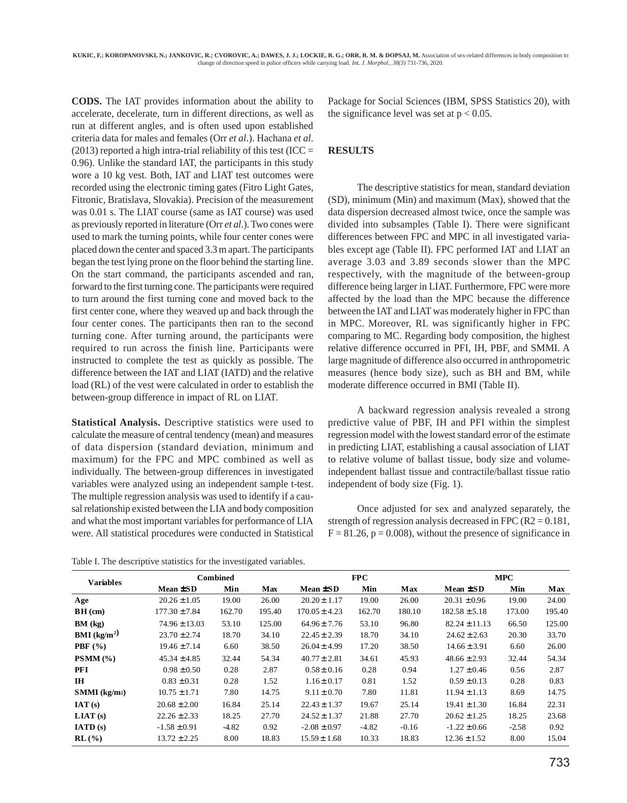**CODS.** The IAT provides information about the ability to accelerate, decelerate, turn in different directions, as well as run at different angles, and is often used upon established criteria data for males and females (Orr *et al*.). Hachana *et al*. (2013) reported a high intra-trial reliability of this test (ICC = 0.96). Unlike the standard IAT, the participants in this study wore a 10 kg vest. Both, IAT and LIAT test outcomes were recorded using the electronic timing gates (Fitro Light Gates, Fitronic, Bratislava, Slovakia). Precision of the measurement was 0.01 s. The LIAT course (same as IAT course) was used as previously reported in literature (Orr *et al*.). Two cones were used to mark the turning points, while four center cones were placed down the center and spaced 3.3 m apart. The participants began the test lying prone on the floor behind the starting line. On the start command, the participants ascended and ran, forward to the first turning cone. The participants were required to turn around the first turning cone and moved back to the first center cone, where they weaved up and back through the four center cones. The participants then ran to the second turning cone. After turning around, the participants were required to run across the finish line. Participants were instructed to complete the test as quickly as possible. The difference between the IAT and LIAT (IATD) and the relative load (RL) of the vest were calculated in order to establish the between-group difference in impact of RL on LIAT.

**Statistical Analysis.** Descriptive statistics were used to calculate the measure of central tendency (mean) and measures of data dispersion (standard deviation, minimum and maximum) for the FPC and MPC combined as well as individually. The between-group differences in investigated variables were analyzed using an independent sample t-test. The multiple regression analysis was used to identify if a causal relationship existed between the LIA and body composition and what the most important variables for performance of LIA were. All statistical procedures were conducted in Statistical

Package for Social Sciences (IBM, SPSS Statistics 20), with the significance level was set at  $p < 0.05$ .

## **RESULTS**

The descriptive statistics for mean, standard deviation (SD), minimum (Min) and maximum (Max), showed that the data dispersion decreased almost twice, once the sample was divided into subsamples (Table I). There were significant differences between FPC and MPC in all investigated variables except age (Table II). FPC performed IAT and LIAT an average 3.03 and 3.89 seconds slower than the MPC respectively, with the magnitude of the between-group difference being larger in LIAT. Furthermore, FPC were more affected by the load than the MPC because the difference between the IAT and LIAT was moderately higher in FPC than in MPC. Moreover, RL was significantly higher in FPC comparing to MC. Regarding body composition, the highest relative difference occurred in PFI, IH, PBF, and SMMI. A large magnitude of difference also occurred in anthropometric measures (hence body size), such as BH and BM, while moderate difference occurred in BMI (Table II).

A backward regression analysis revealed a strong predictive value of PBF, IH and PFI within the simplest regression model with the lowest standard error of the estimate in predicting LIAT, establishing a causal association of LIAT to relative volume of ballast tissue, body size and volumeindependent ballast tissue and contractile/ballast tissue ratio independent of body size (Fig. 1).

Once adjusted for sex and analyzed separately, the strength of regression analysis decreased in FPC ( $R2 = 0.181$ ,  $F = 81.26$ ,  $p = 0.008$ ), without the presence of significance in

Table I. The descriptive statistics for the investigated variables.

| <b>Variables</b>            | <b>Combined</b>   |         |            | <b>FPC</b>        |         |         | <b>MPC</b>        |         |        |
|-----------------------------|-------------------|---------|------------|-------------------|---------|---------|-------------------|---------|--------|
|                             | Mean ±SD          | Min     | <b>Max</b> | Mean ±SD          | Min     | Max     | $Mean \pm SD$     | Min     | Max    |
| Age                         | $20.26 \pm 1.05$  | 19.00   | 26.00      | $20.20 \pm 1.17$  | 19.00   | 26.00   | $20.31 \pm 0.96$  | 19.00   | 24.00  |
| $BH$ (cm)                   | $177.30 \pm 7.84$ | 162.70  | 195.40     | $170.05 \pm 4.23$ | 162.70  | 180.10  | $182.58 \pm 5.18$ | 173.00  | 195.40 |
| BM (kg)                     | $74.96 \pm 13.03$ | 53.10   | 125.00     | $64.96 \pm 7.76$  | 53.10   | 96.80   | $82.24 \pm 11.13$ | 66.50   | 125.00 |
| <b>BMI</b> ( $kg/m2$ )      | $23.70 \pm 2.74$  | 18.70   | 34.10      | $22.45 \pm 2.39$  | 18.70   | 34.10   | $24.62 \pm 2.63$  | 20.30   | 33.70  |
| PBF $(\% )$                 | $19.46 \pm 7.14$  | 6.60    | 38.50      | $26.04 \pm 4.99$  | 17.20   | 38.50   | $14.66 \pm 3.91$  | 6.60    | 26.00  |
| PSMM(%)                     | $45.34 \pm 4.85$  | 32.44   | 54.34      | $40.77 \pm 2.81$  | 34.61   | 45.93   | $48.66 \pm 2.93$  | 32.44   | 54.34  |
| <b>PFI</b>                  | $0.98 \pm 0.50$   | 0.28    | 2.87       | $0.58 \pm 0.16$   | 0.28    | 0.94    | $1.27 \pm 0.46$   | 0.56    | 2.87   |
| IH                          | $0.83 \pm 0.31$   | 0.28    | 1.52       | $1.16 \pm 0.17$   | 0.81    | 1.52    | $0.59 \pm 0.13$   | 0.28    | 0.83   |
| $SMMI$ (kg/m <sup>2</sup> ) | $10.75 \pm 1.71$  | 7.80    | 14.75      | $9.11 \pm 0.70$   | 7.80    | 11.81   | $11.94 \pm 1.13$  | 8.69    | 14.75  |
| IAT(s)                      | $20.68 \pm 2.00$  | 16.84   | 25.14      | $22.43 \pm 1.37$  | 19.67   | 25.14   | $19.41 \pm 1.30$  | 16.84   | 22.31  |
| LIAT(s)                     | $22.26 \pm 2.33$  | 18.25   | 27.70      | $24.52 \pm 1.37$  | 21.88   | 27.70   | $20.62 \pm 1.25$  | 18.25   | 23.68  |
| IATD(s)                     | $-1.58 \pm 0.91$  | $-4.82$ | 0.92       | $-2.08 \pm 0.97$  | $-4.82$ | $-0.16$ | $-1.22 \pm 0.66$  | $-2.58$ | 0.92   |
| $RL(\%)$                    | $13.72 \pm 2.25$  | 8.00    | 18.83      | $15.59 \pm 1.68$  | 10.33   | 18.83   | $12.36 \pm 1.52$  | 8.00    | 15.04  |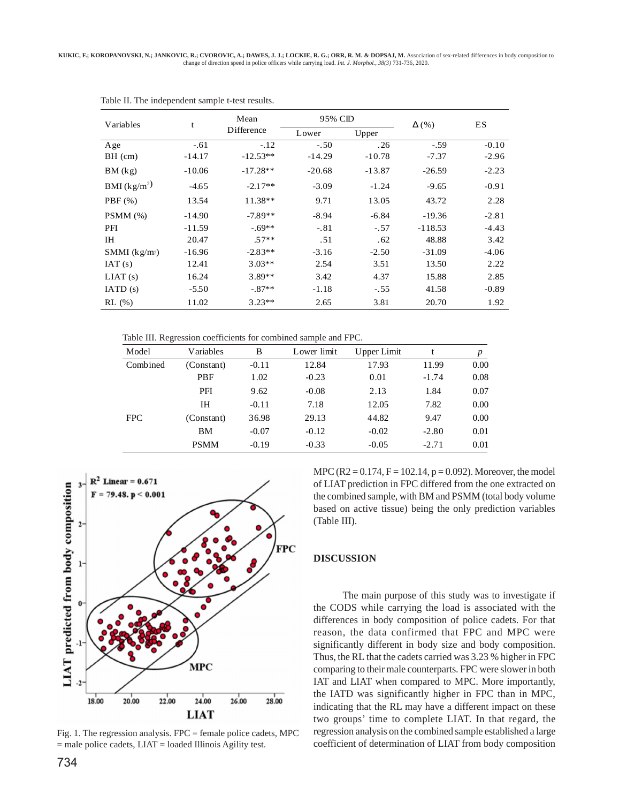| Variables      | t        | Mean       | 95% CID  |          | $\Delta$ (%) | <b>ES</b> |  |
|----------------|----------|------------|----------|----------|--------------|-----------|--|
|                |          | Difference | Lower    | Upper    |              |           |  |
| Age            | $-.61$   | $-.12$     | $-.50$   | .26      | $-.59$       | $-0.10$   |  |
| BH (cm)        | $-14.17$ | $-12.53**$ | $-14.29$ | $-10.78$ | $-7.37$      | $-2.96$   |  |
| BM (kg)        | $-10.06$ | $-17.28**$ | $-20.68$ | $-13.87$ | $-26.59$     | $-2.23$   |  |
| BMI $(kg/m^2)$ | $-4.65$  | $-2.17**$  | $-3.09$  | $-1.24$  | $-9.65$      | $-0.91$   |  |
| $PBF(\%)$      | 13.54    | $11.38**$  | 9.71     | 13.05    | 43.72        | 2.28      |  |
| PSMM(%)        | $-14.90$ | $-7.89**$  | $-8.94$  | $-6.84$  | $-19.36$     | $-2.81$   |  |
| PFI            | $-11.59$ | $-69**$    | $-.81$   | $-.57$   | $-118.53$    | $-4.43$   |  |
| <b>IH</b>      | 20.47    | $.57**$    | .51      | .62      | 48.88        | 3.42      |  |
| SMMI $(kg/m2)$ | $-16.96$ | $-2.83**$  | $-3.16$  | $-2.50$  | $-31.09$     | $-4.06$   |  |
| IAT(s)         | 12.41    | $3.03**$   | 2.54     | 3.51     | 13.50        | 2.22      |  |
| LIAT(s)        | 16.24    | $3.89**$   | 3.42     | 4.37     | 15.88        | 2.85      |  |
| IATD(s)        | $-5.50$  | $-.87**$   | $-1.18$  | $-.55$   | 41.58        | $-0.89$   |  |
| RL (%)         | 11.02    | $3.23**$   | 2.65     | 3.81     | 20.70        | 1.92      |  |

| Table II. The independent sample t-test results. |  |  |  |  |  |  |
|--------------------------------------------------|--|--|--|--|--|--|
|--------------------------------------------------|--|--|--|--|--|--|

Table III. Regression coefficients for combined sample and FPC.

| Model    | Variables   | B       | Lower limit | Upper Limit | t       | p    |
|----------|-------------|---------|-------------|-------------|---------|------|
| Combined | (Constant)  | $-0.11$ | 12.84       | 17.93       | 11.99   | 0.00 |
|          | PBF         | 1.02    | $-0.23$     | 0.01        | $-1.74$ | 0.08 |
|          | PFI         | 9.62    | $-0.08$     | 2.13        | 1.84    | 0.07 |
|          | IH          | $-0.11$ | 7.18        | 12.05       | 7.82    | 0.00 |
| FPC.     | (Constant)  | 36.98   | 29.13       | 44.82       | 9.47    | 0.00 |
|          | <b>BM</b>   | $-0.07$ | $-0.12$     | $-0.02$     | $-2.80$ | 0.01 |
|          | <b>PSMM</b> | $-0.19$ | $-0.33$     | $-0.05$     | $-2.71$ | 0.01 |



Fig. 1. The regression analysis. FPC = female police cadets, MPC = male police cadets, LIAT = loaded Illinois Agility test.

MPC (R2 =  $0.174$ , F = 102.14, p = 0.092). Moreover, the model of LIAT prediction in FPC differed from the one extracted on the combined sample, with BM and PSMM (total body volume based on active tissue) being the only prediction variables (Table III).

### **DISCUSSION**

The main purpose of this study was to investigate if the CODS while carrying the load is associated with the differences in body composition of police cadets. For that reason, the data confirmed that FPC and MPC were significantly different in body size and body composition. Thus, the RL that the cadets carried was 3.23 % higher in FPC comparing to their male counterparts. FPC were slower in both IAT and LIAT when compared to MPC. More importantly, the IATD was significantly higher in FPC than in MPC, indicating that the RL may have a different impact on these two groups' time to complete LIAT. In that regard, the regression analysis on the combined sample established a large coefficient of determination of LIAT from body composition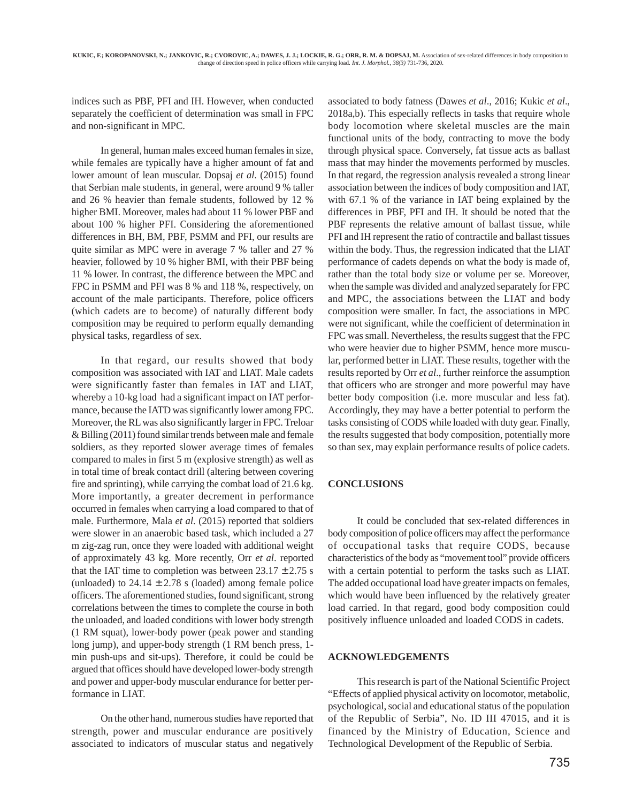indices such as PBF, PFI and IH. However, when conducted separately the coefficient of determination was small in FPC and non-significant in MPC.

In general, human males exceed human females in size, while females are typically have a higher amount of fat and lower amount of lean muscular. Dopsaj *et al*. (2015) found that Serbian male students, in general, were around 9 % taller and 26 % heavier than female students, followed by 12 % higher BMI. Moreover, males had about 11 % lower PBF and about 100 % higher PFI. Considering the aforementioned differences in BH, BM, PBF, PSMM and PFI, our results are quite similar as MPC were in average 7 % taller and 27 % heavier, followed by 10 % higher BMI, with their PBF being 11 % lower. In contrast, the difference between the MPC and FPC in PSMM and PFI was 8 % and 118 %, respectively, on account of the male participants. Therefore, police officers (which cadets are to become) of naturally different body composition may be required to perform equally demanding physical tasks, regardless of sex.

In that regard, our results showed that body composition was associated with IAT and LIAT. Male cadets were significantly faster than females in IAT and LIAT, whereby a 10-kg load had a significant impact on IAT performance, because the IATD was significantly lower among FPC. Moreover, the RL was also significantly larger in FPC. Treloar & Billing (2011) found similar trends between male and female soldiers, as they reported slower average times of females compared to males in first 5 m (explosive strength) as well as in total time of break contact drill (altering between covering fire and sprinting), while carrying the combat load of 21.6 kg. More importantly, a greater decrement in performance occurred in females when carrying a load compared to that of male. Furthermore, Mala *et al*. (2015) reported that soldiers were slower in an anaerobic based task, which included a 27 m zig-zag run, once they were loaded with additional weight of approximately 43 kg. More recently, Orr *et al*. reported that the IAT time to completion was between  $23.17 \pm 2.75$  s (unloaded) to  $24.14 \pm 2.78$  s (loaded) among female police officers. The aforementioned studies, found significant, strong correlations between the times to complete the course in both the unloaded, and loaded conditions with lower body strength (1 RM squat), lower-body power (peak power and standing long jump), and upper-body strength (1 RM bench press, 1 min push-ups and sit-ups). Therefore, it could be could be argued that offices should have developed lower-body strength and power and upper-body muscular endurance for better performance in LIAT.

On the other hand, numerous studies have reported that strength, power and muscular endurance are positively associated to indicators of muscular status and negatively

associated to body fatness (Dawes *et al*., 2016; Kukic *et al*., 2018a,b). This especially reflects in tasks that require whole body locomotion where skeletal muscles are the main functional units of the body, contracting to move the body through physical space. Conversely, fat tissue acts as ballast mass that may hinder the movements performed by muscles. In that regard, the regression analysis revealed a strong linear association between the indices of body composition and IAT, with 67.1 % of the variance in IAT being explained by the differences in PBF, PFI and IH. It should be noted that the PBF represents the relative amount of ballast tissue, while PFI and IH represent the ratio of contractile and ballast tissues within the body. Thus, the regression indicated that the LIAT performance of cadets depends on what the body is made of, rather than the total body size or volume per se. Moreover, when the sample was divided and analyzed separately for FPC and MPC, the associations between the LIAT and body composition were smaller. In fact, the associations in MPC were not significant, while the coefficient of determination in FPC was small. Nevertheless, the results suggest that the FPC who were heavier due to higher PSMM, hence more muscular, performed better in LIAT. These results, together with the results reported by Orr *et al*., further reinforce the assumption that officers who are stronger and more powerful may have better body composition (i.e. more muscular and less fat). Accordingly, they may have a better potential to perform the tasks consisting of CODS while loaded with duty gear. Finally, the results suggested that body composition, potentially more so than sex, may explain performance results of police cadets.

### **CONCLUSIONS**

It could be concluded that sex-related differences in body composition of police officers may affect the performance of occupational tasks that require CODS, because characteristics of the body as "movement tool" provide officers with a certain potential to perform the tasks such as LIAT. The added occupational load have greater impacts on females, which would have been influenced by the relatively greater load carried. In that regard, good body composition could positively influence unloaded and loaded CODS in cadets.

#### **ACKNOWLEDGEMENTS**

This research is part of the National Scientific Project "Effects of applied physical activity on locomotor, metabolic, psychological, social and educational status of the population of the Republic of Serbia", No. ID III 47015, and it is financed by the Ministry of Education, Science and Technological Development of the Republic of Serbia.